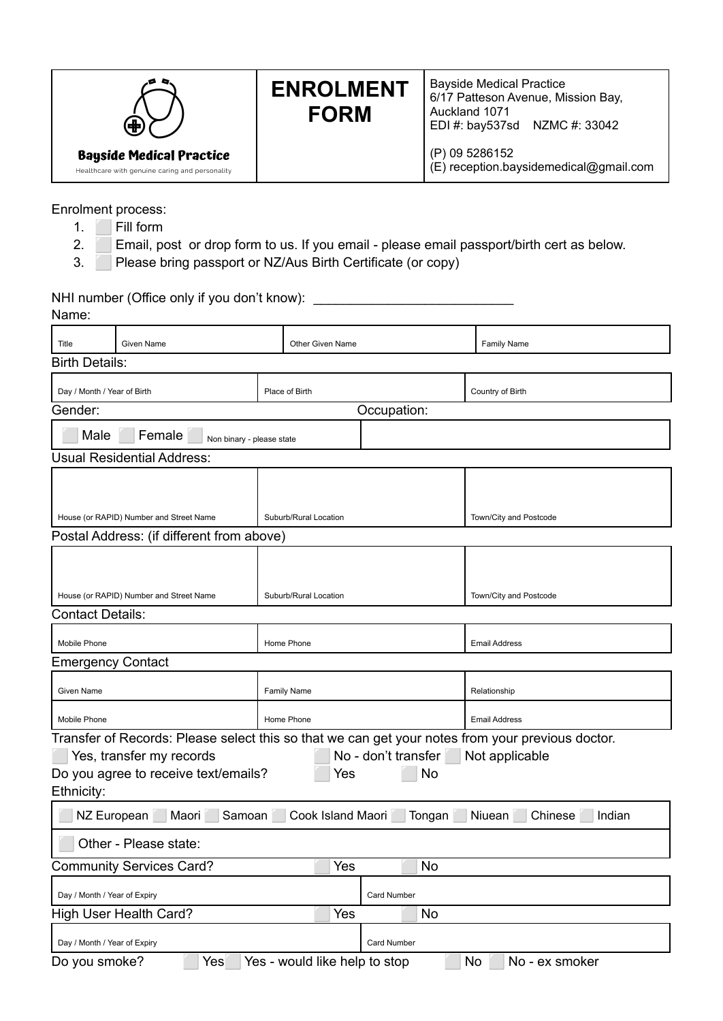| $\bigoplus$                                                                       | <b>ENROLMENT</b><br><b>FORM</b> | <b>Bayside Medical Practice</b><br>6/17 Patteson Avenue, Mission Bay,<br>Auckland 1071<br>EDI #: bay537sd NZMC #: 33042 |  |
|-----------------------------------------------------------------------------------|---------------------------------|-------------------------------------------------------------------------------------------------------------------------|--|
| <b>Bayside Medical Practice</b><br>Healthcare with genuine caring and personality |                                 | (P) 09 5286152<br>(E) reception.baysidemedical@gmail.com                                                                |  |

Enrolment process:

- 1. **Fill form**
- 2. Email, post or drop form to us. If you email please email passport/birth cert as below.
- 3. Please bring passport or NZ/Aus Birth Certificate (or copy)

| Name:                         | NHI number (Office only if you don't know):                      |                               |                                 |                                                                                                                    |  |
|-------------------------------|------------------------------------------------------------------|-------------------------------|---------------------------------|--------------------------------------------------------------------------------------------------------------------|--|
| Title                         | Given Name                                                       | Other Given Name              |                                 | <b>Family Name</b>                                                                                                 |  |
| <b>Birth Details:</b>         |                                                                  |                               |                                 |                                                                                                                    |  |
|                               | Day / Month / Year of Birth                                      |                               |                                 | Country of Birth                                                                                                   |  |
| Gender:                       |                                                                  |                               | Occupation:                     |                                                                                                                    |  |
| Male                          | Female<br>Non binary - please state                              |                               |                                 |                                                                                                                    |  |
|                               | <b>Usual Residential Address:</b>                                |                               |                                 |                                                                                                                    |  |
|                               | House (or RAPID) Number and Street Name                          | Suburb/Rural Location         |                                 | Town/City and Postcode                                                                                             |  |
|                               | Postal Address: (if different from above)                        |                               |                                 |                                                                                                                    |  |
|                               | House (or RAPID) Number and Street Name                          | Suburb/Rural Location         |                                 | Town/City and Postcode                                                                                             |  |
| <b>Contact Details:</b>       |                                                                  |                               |                                 |                                                                                                                    |  |
| Mobile Phone                  |                                                                  | Home Phone                    |                                 | <b>Email Address</b>                                                                                               |  |
| <b>Emergency Contact</b>      |                                                                  |                               |                                 |                                                                                                                    |  |
| Given Name                    | <b>Family Name</b>                                               |                               |                                 | Relationship                                                                                                       |  |
| Mobile Phone                  | Home Phone                                                       |                               |                                 | <b>Email Address</b>                                                                                               |  |
| Ethnicity:                    | Yes, transfer my records<br>Do you agree to receive text/emails? | Yes                           | No - don't transfer<br>No       | Transfer of Records: Please select this so that we can get your notes from your previous doctor.<br>Not applicable |  |
|                               | NZ European<br>Maori                                             |                               | Samoan Cook Island Maori Tongan | Niuean<br>Chinese<br>Indian                                                                                        |  |
|                               | Other - Please state:                                            |                               |                                 |                                                                                                                    |  |
|                               | <b>Community Services Card?</b>                                  | Yes                           | No                              |                                                                                                                    |  |
| Day / Month / Year of Expiry  |                                                                  | Card Number                   |                                 |                                                                                                                    |  |
| <b>High User Health Card?</b> |                                                                  | Yes                           | No                              |                                                                                                                    |  |
| Day / Month / Year of Expiry  |                                                                  |                               | <b>Card Number</b>              |                                                                                                                    |  |
| Do you smoke?                 | Yes                                                              | Yes - would like help to stop |                                 | No<br>No - ex smoker                                                                                               |  |